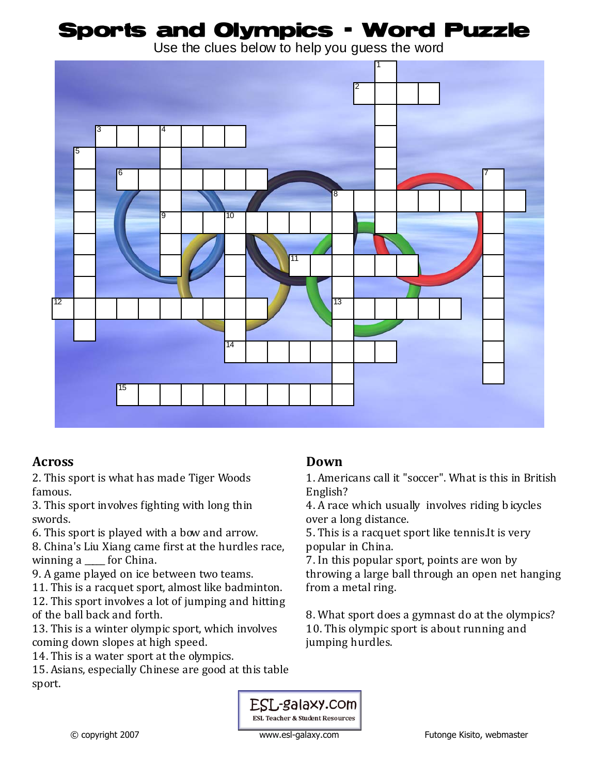## Sports and Olympics - Word Puzzle

Use the clues below to help you guess the word



### **Across**

2. This sport is what has made Tiger Woods famous.

3. This sport involves fighting with long thin swords.

6. This sport is played with a bow and arrow.

8. China's Liu Xiang came first at the hurdles race, winning a \_\_\_\_\_ for China.

9. A game played on ice between two teams.

11. This is a racquet sport, almost like badminton.

12. This sport involves a lot of jumping and hitting of the ball back and forth.

13. This is a winter olympic sport, which involves coming down slopes at high speed.

14. This is a water sport at the olympics.

15. Asians, especially Chinese are good at this table sport.

#### **Down**

1. Americans call it "soccer". What is this in British English?

4. A race which usually involves riding b icycles over a long distance.

5. This is a racquet sport like tennis.It is very popular in China.

7. In this popular sport, points are won by throwing a large ball through an open net hanging from a metal ring.

8. What sport does a gymnast do at the olympics? 10. This olympic sport is about running and jumping hurdles.